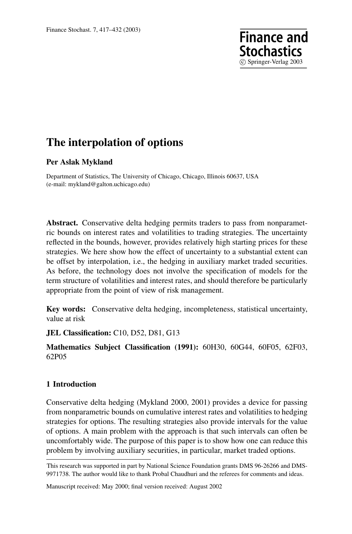# **The interpolation of options**

## **Per Aslak Mykland**

Department of Statistics, The University of Chicago, Chicago, Illinois 60637, USA (e-mail: mykland@galton.uchicago.edu)

**Abstract.** Conservative delta hedging permits traders to pass from nonparametric bounds on interest rates and volatilities to trading strategies. The uncertainty reflected in the bounds, however, provides relatively high starting prices for these strategies. We here show how the effect of uncertainty to a substantial extent can be offset by interpolation, i.e., the hedging in auxiliary market traded securities. As before, the technology does not involve the specification of models for the term structure of volatilities and interest rates, and should therefore be particularly appropriate from the point of view of risk management.

c Springer-Verlag 2003

**Finance and Stochastics** 

**Key words:** Conservative delta hedging, incompleteness, statistical uncertainty, value at risk

**JEL Classification:** C10, D52, D81, G13

# **Mathematics Subject Classification (1991):** 60H30, 60G44, 60F05, 62F03, 62P05

## **1 Introduction**

Conservative delta hedging (Mykland 2000, 2001) provides a device for passing from nonparametric bounds on cumulative interest rates and volatilities to hedging strategies for options. The resulting strategies also provide intervals for the value of options. A main problem with the approach is that such intervals can often be uncomfortably wide. The purpose of this paper is to show how one can reduce this problem by involving auxiliary securities, in particular, market traded options.

Manuscript received: May 2000; final version received: August 2002

This research was supported in part by National Science Foundation grants DMS 96-26266 and DMS-9971738. The author would like to thank Probal Chaudhuri and the referees for comments and ideas.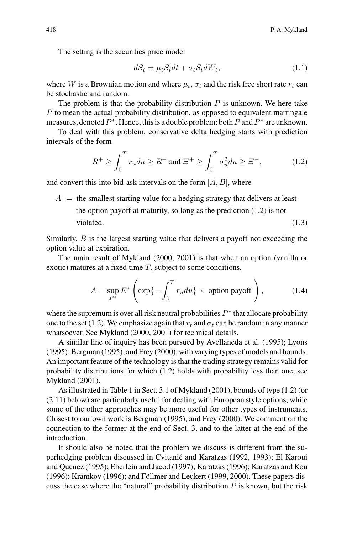The setting is the securities price model

$$
dS_t = \mu_t S_t dt + \sigma_t S_t dW_t, \qquad (1.1)
$$

where W is a Brownian motion and where  $\mu_t$ ,  $\sigma_t$  and the risk free short rate  $r_t$  can be stochastic and random.

The problem is that the probability distribution  $P$  is unknown. We here take P to mean the actual probability distribution, as opposed to equivalent martingale measures, denoted  $P^*$ . Hence, this is a double problem: both P and  $P^*$  are unknown.

To deal with this problem, conservative delta hedging starts with prediction intervals of the form

$$
R^{+} \ge \int_0^T r_u du \ge R^{-} \text{ and } \Xi^{+} \ge \int_0^T \sigma_u^2 du \ge \Xi^{-}, \tag{1.2}
$$

and convert this into bid-ask intervals on the form  $[A, B]$ , where

 $A =$  the smallest starting value for a hedging strategy that delivers at least the option payoff at maturity, so long as the prediction (1.2) is not violated. (1.3)

Similarly, B is the largest starting value that delivers a payoff not exceeding the option value at expiration.

The main result of Mykland (2000, 2001) is that when an option (vanilla or exotic) matures at a fixed time  $T$ , subject to some conditions,

$$
A = \sup_{P^*} E^* \left( \exp\{-\int_0^T r_u du\} \times \text{ option payoff} \right), \tag{1.4}
$$

where the supremum is over all risk neutral probabilities  $P^*$  that allocate probability one to the set (1.2). We emphasize again that  $r_t$  and  $\sigma_t$  can be random in any manner whatsoever. See Mykland (2000, 2001) for technical details.

A similar line of inquiry has been pursued by Avellaneda et al. (1995); Lyons (1995); Bergman (1995); and Frey (2000), with varying types of models and bounds. An important feature of the technology is that the trading strategy remains valid for probability distributions for which (1.2) holds with probability less than one, see Mykland (2001).

As illustrated in Table 1 in Sect. 3.1 of Mykland (2001), bounds of type (1.2) (or (2.11) below) are particularly useful for dealing with European style options, while some of the other approaches may be more useful for other types of instruments. Closest to our own work is Bergman (1995), and Frey (2000). We comment on the connection to the former at the end of Sect. 3, and to the latter at the end of the introduction.

It should also be noted that the problem we discuss is different from the superhedging problem discussed in Cvitanic and Karatzas (1992, 1993); El Karoui ´ and Quenez (1995); Eberlein and Jacod (1997); Karatzas (1996); Karatzas and Kou  $(1996)$ ; Kramkov  $(1996)$ ; and Föllmer and Leukert  $(1999, 2000)$ . These papers discuss the case where the "natural" probability distribution  $P$  is known, but the risk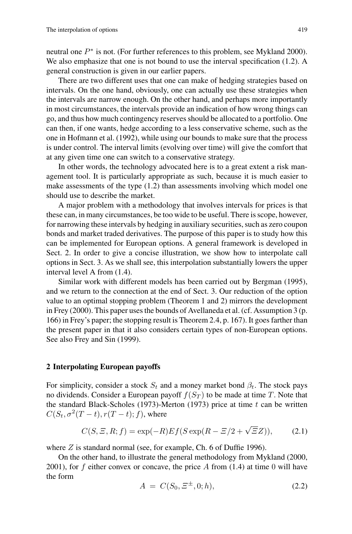neutral one P<sup>∗</sup> is not. (For further references to this problem, see Mykland 2000). We also emphasize that one is not bound to use the interval specification (1.2). A general construction is given in our earlier papers.

There are two different uses that one can make of hedging strategies based on intervals. On the one hand, obviously, one can actually use these strategies when the intervals are narrow enough. On the other hand, and perhaps more importantly in most circumstances, the intervals provide an indication of how wrong things can go, and thus how much contingency reserves should be allocated to a portfolio. One can then, if one wants, hedge according to a less conservative scheme, such as the one in Hofmann et al. (1992), while using our bounds to make sure that the process is under control. The interval limits (evolving over time) will give the comfort that at any given time one can switch to a conservative strategy.

In other words, the technology advocated here is to a great extent a risk management tool. It is particularly appropriate as such, because it is much easier to make assessments of the type (1.2) than assessments involving which model one should use to describe the market.

A major problem with a methodology that involves intervals for prices is that these can, in many circumstances, be too wide to be useful. There is scope, however, for narrowing these intervals by hedging in auxiliary securities, such as zero coupon bonds and market traded derivatives. The purpose of this paper is to study how this can be implemented for European options. A general framework is developed in Sect. 2. In order to give a concise illustration, we show how to interpolate call options in Sect. 3. As we shall see, this interpolation substantially lowers the upper interval level A from (1.4).

Similar work with different models has been carried out by Bergman (1995), and we return to the connection at the end of Sect. 3. Our reduction of the option value to an optimal stopping problem (Theorem 1 and 2) mirrors the development in Frey (2000). This paper uses the bounds of Avellaneda et al. (cf. Assumption 3 (p. 166) in Frey's paper; the stopping result is Theorem 2.4, p. 167). It goes farther than the present paper in that it also considers certain types of non-European options. See also Frey and Sin (1999).

## **2 Interpolating European payoffs**

For simplicity, consider a stock  $S_t$  and a money market bond  $\beta_t$ . The stock pays no dividends. Consider a European payoff  $f(S_T)$  to be made at time T. Note that the standard Black-Scholes (1973)-Merton (1973) price at time  $t$  can be written  $C(S_t, \sigma^2(T-t), r(T-t); f)$ , where

$$
C(S, \Xi, R; f) = \exp(-R)Ef(S\exp(R - \Xi/2 + \sqrt{\Xi}Z)),\tag{2.1}
$$

where Z is standard normal (see, for example, Ch. 6 of Duffie 1996).

On the other hand, to illustrate the general methodology from Mykland (2000, 2001), for f either convex or concave, the price A from  $(1.4)$  at time 0 will have the form

$$
A = C(S_0, \Xi^{\pm}, 0; h), \tag{2.2}
$$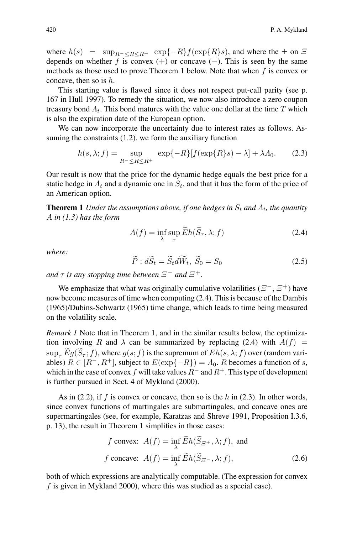where  $h(s) = \sup_{R^{-} \leq R \leq R^{+}} \exp\{-R\}f(\exp\{R\}s)$ , and where the  $\pm$  on  $\Xi$ depends on whether f is convex (+) or concave (−). This is seen by the same methods as those used to prove Theorem 1 below. Note that when  $f$  is convex or concave, then so is h.

This starting value is flawed since it does not respect put-call parity (see p. 167 in Hull 1997). To remedy the situation, we now also introduce a zero coupon treasury bond  $\Lambda_t$ . This bond matures with the value one dollar at the time T which is also the expiration date of the European option.

We can now incorporate the uncertainty due to interest rates as follows. Assuming the constraints (1.2), we form the auxiliary function

$$
h(s,\lambda;f) = \sup_{R^- \le R \le R^+} \exp\{-R\}[f(\exp\{R\}s) - \lambda] + \lambda A_0. \tag{2.3}
$$

Our result is now that the price for the dynamic hedge equals the best price for a static hedge in  $\Lambda_t$  and a dynamic one in  $S_t$ , and that it has the form of the price of an American option.

**Theorem 1** *Under the assumptions above, if one hedges in*  $S_t$  *and*  $\Lambda_t$ *, the quantity* A *in (1.3) has the form*

$$
A(f) = \inf_{\lambda} \sup_{\tau} \widetilde{E}h(\widetilde{S}_{\tau}, \lambda; f)
$$
 (2.4)

*where:*

$$
\widetilde{P} : d\widetilde{S}_t = \widetilde{S}_t d\widetilde{W}_t, \widetilde{S}_0 = S_0 \tag{2.5}
$$

*and*  $\tau$  *is any stopping time between*  $\Xi^-$  *and*  $\Xi^+$ *.* 

We emphasize that what was originally cumulative volatilities ( $\Xi^-$ ,  $\Xi^+$ ) have now become measures of time when computing (2.4). This is because of the Dambis (1965)/Dubins-Schwartz (1965) time change, which leads to time being measured on the volatility scale.

*Remark 1* Note that in Theorem 1, and in the similar results below, the optimization involving R and  $\lambda$  can be summarized by replacing (2.4) with  $A(f)$  =  $\sup_{\tau} E g(S_{\tau}; f)$ , where  $g(s; f)$  is the supremum of  $Eh(s, \lambda; f)$  over (random variables)  $R \in [R^-, R^+]$ , subject to  $E(\exp\{-R\}) = \Lambda_0$ . R becomes a function of s, which in the case of convex f will take values  $R^-$  and  $R^+$ . This type of development is further pursued in Sect. 4 of Mykland (2000).

As in (2.2), if f is convex or concave, then so is the h in (2.3). In other words, since convex functions of martingales are submartingales, and concave ones are supermartingales (see, for example, Karatzas and Shreve 1991, Proposition I.3.6, p. 13), the result in Theorem 1 simplifies in those cases:

f convex: 
$$
A(f) = \inf_{\lambda} \tilde{E}h(\tilde{S}_{\Xi^+}, \lambda; f)
$$
, and  
\nf concave:  $A(f) = \inf_{\lambda} \tilde{E}h(\tilde{S}_{\Xi^-}, \lambda; f)$ , (2.6)

both of which expressions are analytically computable. (The expression for convex f is given in Mykland 2000), where this was studied as a special case).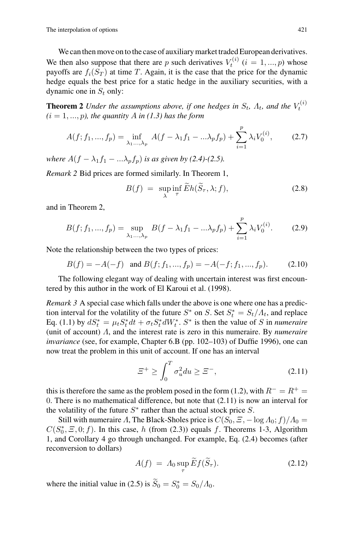We can then move on to the case of auxiliary market traded European derivatives. We then also suppose that there are p such derivatives  $V_t^{(i)}$   $(i = 1, ..., p)$  whose payoffs are  $f_i(S_m)$  at time T. Again, it is the case that the price for the dynamic payoffs are  $f_i(S_T)$  at time T. Again, it is the case that the price for the dynamic hedge equals the best price for a static hedge in the auxiliary securities, with a dynamic one in  $S_t$  only:

**Theorem 2** *Under the assumptions above, if one hedges in*  $S_t$ ,  $\Lambda_t$ , and the  $V_t^{(i)}$  $(i = 1, ..., p)$ , the quantity A in (1.3) has the form

$$
A(f; f_1, ..., f_p) = \inf_{\lambda_1, ..., \lambda_p} A(f - \lambda_1 f_1 - ... \lambda_p f_p) + \sum_{i=1}^p \lambda_i V_0^{(i)},
$$
 (2.7)

*where*  $A(f - \lambda_1 f_1 - ... \lambda_p f_p)$  *is as given by (2.4)-(2.5).* 

*Remark 2* Bid prices are formed similarly. In Theorem 1,

$$
B(f) = \sup_{\lambda} \inf_{\tau} \widetilde{E}h(\widetilde{S}_{\tau}, \lambda; f), \tag{2.8}
$$

and in Theorem 2,

$$
B(f; f_1, ..., f_p) = \sup_{\lambda_1, ..., \lambda_p} B(f - \lambda_1 f_1 - ... \lambda_p f_p) + \sum_{i=1}^p \lambda_i V_0^{(i)}.
$$
 (2.9)

Note the relationship between the two types of prices:

$$
B(f) = -A(-f) \text{ and } B(f; f_1, ..., f_p) = -A(-f; f_1, ..., f_p). \tag{2.10}
$$

The following elegant way of dealing with uncertain interest was first encountered by this author in the work of El Karoui et al. (1998).

*Remark 3* A special case which falls under the above is one where one has a prediction interval for the volatility of the future  $S^*$  on S. Set  $S_t^* = S_t/\Lambda_t$ , and replace<br>Eq. (1.1) by  $dS^* = \mu_s S^* dt + \sigma_s S^* dW^*$ .  $S^*$  is then the value of S in numeraire Eq. (1.1) by  $dS_t^* = \mu_t S_t^* dt + \sigma_t S_t^* dW_t^*$ .  $S^*$  is then the value of S in *numeraire*<br>(unit of account) A and the interest rate is zero in this numeraire. By *numeraire* (unit of account) Λ, and the interest rate is zero in this numeraire. By *numeraire invariance* (see, for example, Chapter 6.B (pp. 102–103) of Duffie 1996), one can now treat the problem in this unit of account. If one has an interval

$$
\varXi^+ \ge \int_0^T \sigma_u^2 du \ge \varXi^-, \tag{2.11}
$$

this is therefore the same as the problem posed in the form (1.2), with  $R^{-} = R^{+} =$ 0. There is no mathematical difference, but note that (2.11) is now an interval for the volatility of the future  $S^*$  rather than the actual stock price S.

Still with numeraire Λ, The Black-Sholes price is  $C(S_0, \Xi, -\log A_0; f)/A_0 =$  $C(S_0^*, E, 0; f)$ . In this case, h (from (2.3)) equals f. Theorems 1-3, Algorithm 1 and Corollary 4 go through unchanged. For example, Eq. (2.4) becomes (after 1, and Corollary 4 go through unchanged. For example, Eq. (2.4) becomes (after reconversion to dollars)

$$
A(f) = \Lambda_0 \sup_{\tau} \widetilde{E} f(\widetilde{S}_{\tau}). \tag{2.12}
$$

where the initial value in (2.5) is  $S_0 = S_0^* = S_0 / A_0$ .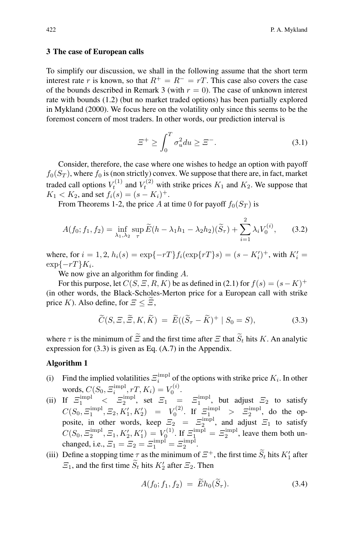#### **3 The case of European calls**

To simplify our discussion, we shall in the following assume that the short term interest rate r is known, so that  $R^+ = R^- = rT$ . This case also covers the case of the bounds described in Remark 3 (with  $r = 0$ ). The case of unknown interest rate with bounds (1.2) (but no market traded options) has been partially explored in Mykland (2000). We focus here on the volatility only since this seems to be the foremost concern of most traders. In other words, our prediction interval is

$$
\varXi^+ \ge \int_0^T \sigma_u^2 du \ge \varXi^-.
$$
\n(3.1)

Consider, therefore, the case where one wishes to hedge an option with payoff  $f_0(S_T)$ , where  $f_0$  is (non strictly) convex. We suppose that there are, in fact, market traded call options  $V_t^{(1)}$  and  $V_t^{(2)}$  with strike prices  $K_1$  and  $K_2$ . We suppose that  $K_1 < K_2$ , and set  $f_i(s) = (s - K_i)^+$ .

From Theorems 1-2, the price A at time 0 for payoff  $f_0(S_T)$  is

$$
A(f_0; f_1, f_2) = \inf_{\lambda_1, \lambda_2} \sup_{\tau} \widetilde{E}(h - \lambda_1 h_1 - \lambda_2 h_2)(\widetilde{S}_{\tau}) + \sum_{i=1}^2 \lambda_i V_0^{(i)}, \qquad (3.2)
$$

where, for  $i = 1, 2, h_i(s) = \exp\{-rT\}f_i(\exp\{rT\}s) = (s - K'_i)^+$ , with  $K'_i = \exp\{-rT\}K$ .  $\exp\{-rT\}K_i$ .

We now give an algorithm for finding A.

For this purpose, let  $C(S, \Xi, R, K)$  be as defined in (2.1) for  $f(s)=(s-K)^{+}$ (in other words, the Black-Scholes-Merton price for a European call with strike price K). Also define, for  $\Xi \leq \Xi$ ,

$$
\widetilde{C}(S, \Xi, \widetilde{\Xi}, K, \widetilde{K}) = \widetilde{E}((\widetilde{S}_{\tau} - \widetilde{K})^+ | S_0 = S), \tag{3.3}
$$

where  $\tau$  is the minimum of  $\widetilde{\Xi}$  and the first time after  $\Xi$  that  $\widetilde{S}_t$  hits K. An analytic expression for (3.3) is given as Eq. (A.7) in the Appendix.

#### **Algorithm 1**

- (i) Find the implied volatilities  $\mathcal{Z}_i^{\text{impl}}$  of the options with strike price  $K_i$ . In other words,  $C(S_0, \Xi_i^{\text{impl}}, rT, K_i) = V_0^{(i)}$ .
- (ii) If  $\Xi_1^{\text{impl}} < \Xi_2^{\text{impl}}$ , set  $\Xi_1 = \Xi_1^{\text{impl}}$ , but adjust  $\Xi_2$  to satisfy  $C(C, \text{impl}) \subset L^2(L, L^2)$  $C(S_0, \Xi_1^{\text{impl}}, \Xi_2, K'_1, K'_2) = V_0^{(2)}$ . If  $\Xi_1^{\text{impl}} > \Xi_2^{\text{impl}}$ , do the opposite, in other words, keep  $\mathcal{Z}_2 = \mathcal{Z}_2^{\text{impl}}$ , and adjust  $\mathcal{Z}_1$  to satisfy  $C(C, \text{minp} \mid \mathcal{Z} | U \mid U)$  is  $\mathcal{Z}^{\text{impl}}$  implies the set and the set of  $C(S_0, \Xi_2^{\text{impl}}, \Xi_1, K'_2, K'_1) = V_0^{(1)}$ . If  $\Xi_1^{\text{impl}} = \Xi_2^{\text{impl}}$ , leave them both unchanged, i.e.,  $\Xi_1 = \Xi_2 = \Xi_1^{\text{impl}} = \Xi_2^{\text{impl}}$ .<br>Define a stepping time  $\pi$  as the minimum of
- (iii) Define a stopping time  $\tau$  as the minimum of  $\Xi^+$ , the first time  $\widetilde{S}_t$  hits  $K'_1$  after  $\Xi_1$ , and the first time  $S_t$  hits  $K'_2$  after  $\Xi_2$ . Then

$$
A(f_0; f_1, f_2) = \widetilde{E}h_0(\widetilde{S}_{\tau}). \tag{3.4}
$$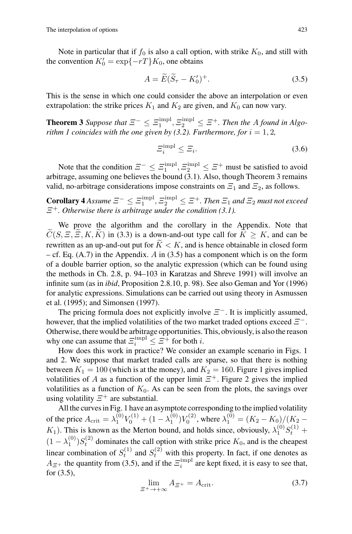Note in particular that if  $f_0$  is also a call option, with strike  $K_0$ , and still with the convention  $K'_0 = \exp\{-rT\}K_0$ , one obtains

$$
A = \widetilde{E}(\widetilde{S}_{\tau} - K_0')^{+}.
$$
\n(3.5)

This is the sense in which one could consider the above an interpolation or even extrapolation: the strike prices  $K_1$  and  $K_2$  are given, and  $K_0$  can now vary.

**Theorem 3** Suppose that  $\Xi^- \leq \Xi_1^{\text{impl}}, \Xi_2^{\text{impl}} \leq \Xi^+$ . Then the A found in Algo*rithm 1 coincides with the one given by (3.2). Furthermore, for*  $i = 1, 2$ ,

$$
\Xi_i^{\text{impl}} \le \Xi_i. \tag{3.6}
$$

Note that the condition  $\mathcal{Z}^- \leq \mathcal{Z}_1^{\text{impl}}, \mathcal{Z}_2^{\text{impl}} \leq \mathcal{Z}^+$  must be satisfied to avoid arbitrage, assuming one believes the bound (3.1). Also, though Theorem 3 remains valid, no-arbitrage considerations impose constraints on  $\mathcal{Z}_1$  and  $\mathcal{Z}_2$ , as follows.

 $\textbf{Corollary 4}$  *Assume*  $\Xi^- \leq \Xi_1^{\text{impl}}, \Xi_2^{\text{impl}} \leq \Xi^+$ . Then  $\Xi_1$  and  $\Xi_2$  must not exceed Ξ<sup>+</sup>*. Otherwise there is arbitrage under the condition (3.1).*

We prove the algorithm and the corollary in the Appendix. Note that  $C(S, \Xi, \Xi, K, K)$  in (3.3) is a down-and-out type call for  $K \geq K$ , and can be rewritten as an up-and-out put for  $K < K$ , and is hence obtainable in closed form – cf. Eq. (A.7) in the Appendix. A in (3.5) has a component which is on the form of a double barrier option, so the analytic expression (which can be found using the methods in Ch. 2.8, p. 94–103 in Karatzas and Shreve 1991) will involve an infinite sum (as in *ibid*, Proposition 2.8.10, p. 98). See also Geman and Yor (1996) for analytic expressions. Simulations can be carried out using theory in Asmussen et al. (1995); and Simonsen (1997).

The pricing formula does not explicitly involve  $\Xi^-$ . It is implicitly assumed, however, that the implied volatilities of the two market traded options exceed  $\Xi^-$ . Otherwise, there would be arbitrage opportunities. This, obviously, is also the reason why one can assume that  $\Xi_i^{\text{impl}} \leq \Xi^{\hat{+}}$  for both *i*.

How does this work in practice? We consider an example scenario in Figs. 1 and 2. We suppose that market traded calls are sparse, so that there is nothing between  $K_1 = 100$  (which is at the money), and  $K_2 = 160$ . Figure 1 gives implied volatilities of A as a function of the upper limit  $\Xi^+$ . Figure 2 gives the implied volatilities as a function of  $K_0$ . As can be seen from the plots, the savings over using volatility  $\Xi^+$  are substantial.

All the curves in Fig. 1 have an asymptote corresponding to the implied volatility of the price  $A_{\text{crit}} = \lambda_1^{(0)} V_0^{(1)} + (1 - \lambda_1^{(0)}) V_0^{(2)}$ , where  $\lambda_1^{(0)} = (K_2 - K_0)/(K_2 - K_1)$ .  $K_1$ ). This is known as the Merton bound, and holds since, obviously,  $\lambda_1^{(0)} S_t^{(1)}$  $(1 - \lambda_1^{(0)}) S_t^{(2)}$  dominates the call option with strike price  $K_0$ , and is the cheapest<br>the complication of  $S_t^{(1)}$  and  $S_t^{(2)}$  is the cheapest of the cheapest linear combination of  $S_t^{(1)}$  and  $S_t^{(2)}$  with this property. In fact, if one denotes as  $A_{\mathcal{Z}^+}$  the quantity from (3.5), and if the  $\mathcal{Z}_i^{\text{impl}}$  are kept fixed, it is easy to see that, for (3.5),

$$
\lim_{\Xi^+ \to +\infty} A_{\Xi^+} = A_{\text{crit}}.\tag{3.7}
$$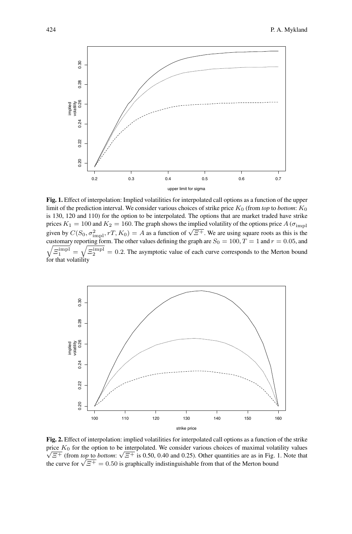

**Fig. 1.** Effect of interpolation: Implied volatilities for interpolated call options as a function of the upper limit of the prediction interval. We consider various choices of strike price  $K_0$  (from *top* to *bottom*:  $K_0$ is 130, 120 and 110) for the option to be interpolated. The options that are market traded have strike prices  $K_1 = 100$  and  $K_2 = 160$ . The graph shows the implied volatility of the options price A ( $\sigma_{\text{impl}}$ ) given by  $C(S_0, \sigma_{\text{impl}}^2, rT, K_0) = A$  as a function of  $\sqrt{\overline{S}}$ . We are using square roots as this is the  $\sqrt{\Xi_1^{\text{impl}}} = \sqrt{\Xi_2^{\text{impl}}} = 0.2$ . The asymptotic value of each curve corresponds to the Merton bound customary reporting form. The other values defining the graph are  $S_0 = 100$ ,  $T = 1$  and  $r = 0.05$ , and for that volatility



**Fig. 2.** Effect of interpolation: implied volatilities for interpolated call options as a function of the strike price  $K_0$  for the option to be interpolated. We consider various choices of maximal volatility values  $\sqrt{\mathcal{Z}^+}$  (from *top* to *bottom*:  $\sqrt{\mathcal{Z}^+}$  is 0.50, 0.40 and 0.25). Other quantities are as in Fig. 1. Note that the curve for  $\sqrt{\Xi^+} = 0.50$  is graphically indistinguishable from that of the Merton bound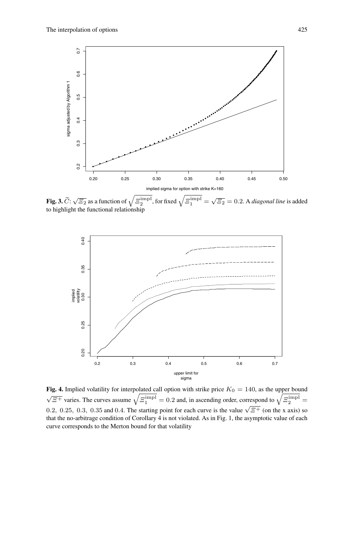

**Fig. 3.**  $\widetilde{C}$ :  $\sqrt{\Xi_2}$  as a function of  $\sqrt{\Xi_2^{\text{impl}}}$ , for fixed  $\sqrt{\Xi_1^{\text{impl}}} = \sqrt{\Xi_2} = 0.2$ . A *diagonal line* is added to highlight the functional relationship



Fig. 4. Implied volatility for interpolated call option with strike price  $K_0 = 140$ , as the upper bound  $\sqrt{\overline{\overline{z}^+}}$  varies. The curves assume  $\sqrt{\overline{\overline{z}_1}^{\text{impl}}} = 0.2$  and, in ascending order, correspond to  $\sqrt{\overline{\overline{z}_2}^{\text{impl}}} =$ 0.2, 0.25, 0.3, 0.35 and 0.4. The starting point for each curve is the value  $\sqrt{\overline{z}}$  (on the x axis) so that the no-arbitrage condition of Corollary 4 is not violated. As in Fig. 1, the asymptotic value of each curve corresponds to the Merton bound for that volatility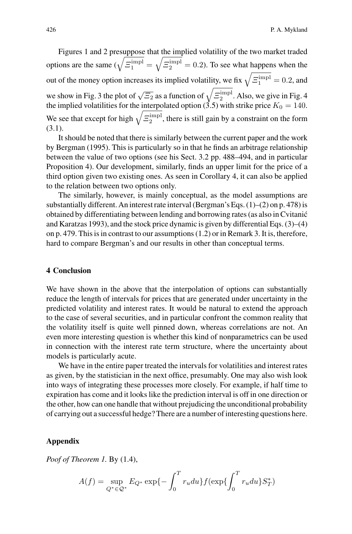Figures 1 and 2 presuppose that the implied volatility of the two market traded options are the same  $(\sqrt{\Xi_1^{\text{impl}}} =$  $\sqrt{\Xi_2^{\text{impl}}}$  = 0.2). To see what happens when the out of the money option increases its implied volatility, we fix  $\sqrt{\Xi_1^{\text{impl}}} = 0.2$ , and we show in Fig. 3 the plot of  $\sqrt{\overline{\Sigma}_2}$  as a function of  $\sqrt{\overline{\Sigma}_2^{\text{impl}}}$ . Also, we give in Fig. 4 the implied volatilities for the interpolated option (3.5) with strike price  $K_0 = 140$ . We see that except for high  $\sqrt{\overline{\Xi}_2^{\text{impl}}}$ , there is still gain by a constraint on the form (3.1).

It should be noted that there is similarly between the current paper and the work by Bergman (1995). This is particularly so in that he finds an arbitrage relationship between the value of two options (see his Sect. 3.2 pp. 488–494, and in particular Proposition 4). Our development, similarly, finds an upper limit for the price of a third option given two existing ones. As seen in Corollary 4, it can also be applied to the relation between two options only.

The similarly, however, is mainly conceptual, as the model assumptions are substantially different. An interest rate interval (Bergman's Eqs. (1)–(2) on p. 478) is obtained by differentiating between lending and borrowing rates (as also in Cvitanic´ and Karatzas 1993), and the stock price dynamic is given by differential Eqs. (3)–(4) on p. 479. This is in contrast to our assumptions (1.2) or in Remark 3. It is, therefore, hard to compare Bergman's and our results in other than conceptual terms.

#### **4 Conclusion**

We have shown in the above that the interpolation of options can substantially reduce the length of intervals for prices that are generated under uncertainty in the predicted volatility and interest rates. It would be natural to extend the approach to the case of several securities, and in particular confront the common reality that the volatility itself is quite well pinned down, whereas correlations are not. An even more interesting question is whether this kind of nonparametrics can be used in connection with the interest rate term structure, where the uncertainty about models is particularly acute.

We have in the entire paper treated the intervals for volatilities and interest rates as given, by the statistician in the next office, presumably. One may also wish look into ways of integrating these processes more closely. For example, if half time to expiration has come and it looks like the prediction interval is off in one direction or the other, how can one handle that without prejudicing the unconditional probability of carrying out a successful hedge? There are a number of interesting questions here.

### **Appendix**

*Poof of Theorem 1.* By (1.4),

$$
A(f) = \sup_{Q^* \in \mathcal{Q}^*} E_{Q^*} \exp\{-\int_0^T r_u du\} f(\exp\{\int_0^T r_u du\} S_T^*)
$$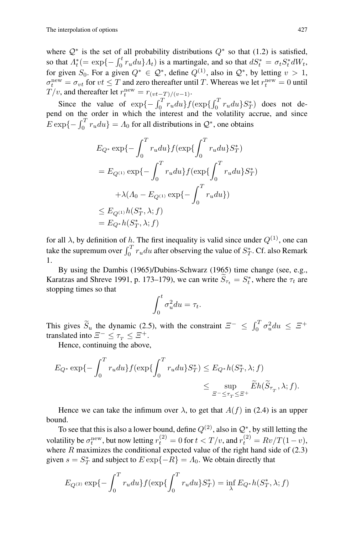where  $\mathcal{Q}^*$  is the set of all probability distributions  $Q^*$  so that (1.2) is satisfied, so that  $\Lambda_t^*$  (= exp{ $-\int_0^t r_u du$ } $\Lambda_t$ ) is a martingale, and so that  $dS_t^* = \sigma_t S_t^* dW_t$ ,<br>for given  $S$ . For a given  $O_t^* \subset O_t^*$ , define  $O_t^{(1)}$  also in  $O_t^*$ , by letting  $v > 1$ . for given  $S_0$ . For a given  $Q^* \in \mathcal{Q}^*$ , define  $Q^{(1)}$ , also in  $\mathcal{Q}^*$ , by letting  $v > 1$ ,  $\sigma_t^{\text{new}} = \sigma_{vt}$  for  $vt \leq T$  and zero thereafter until T. Whereas we let  $r_t^{\text{new}}$ <br> $T/u$ , and thereafter let  $r^{\text{new}} = T(u, \mathcal{F}_t(u))$  $\sigma_t^{\text{new}} = \sigma_{vt}$  for  $vt \leq T$  and zero thereafter until T. Whereas we let  $r_t^{\text{new}} = 0$  until<br>  $T/v$ , and thereafter let  $r_t^{\text{new}} = r_{(vt-T)/(v-1)}$ .

Since the value of  $\exp\{-\int_0^T r_u du\} f(\exp\{\int_0^T r_u du\} S_T^*)$  does not depend on the order in which the interest and the volatility accrue, and since  $E \exp\{-\int_0^T r_u du\} = \Lambda_0$  for all distributions in  $Q^*$ , one obtains

$$
E_{Q^*} \exp\{-\int_0^T r_u du\} f(\exp\{\int_0^T r_u du\} S_T^*)
$$
  
=  $E_{Q^{(1)}} \exp\{-\int_0^T r_u du\} f(\exp\{\int_0^T r_u du\} S_T^*)$   
 $+ \lambda (A_0 - E_{Q^{(1)}} \exp\{-\int_0^T r_u du\})$   
 $\leq E_{Q^{(1)}} h(S_T^*, \lambda; f)$   
=  $E_{Q^*} h(S_T^*, \lambda; f)$ 

for all  $\lambda$ , by definition of h. The first inequality is valid since under  $Q^{(1)}$ , one can take the supremum over  $\int_0^T r_u du$  after observing the value of  $S_T^*$ . Cf. also Remark 1.

By using the Dambis (1965)/Dubins-Schwarz (1965) time change (see, e.g., Karatzas and Shreve 1991, p. 173–179), we can write  $S_{\tau_t} = S_t^*$ , where the  $\tau_t$  are stopping times so that stopping times so that

$$
\int_0^t \sigma_u^2 du = \tau_t.
$$

This gives  $\widetilde{S}_u$  the dynamic (2.5), with the constraint  $\Xi^- \leq \int_0^T \sigma_u^2 du \leq \Xi^+$ translated into  $\Xi^- \leq \tau_{\tau} \leq \Xi^+$ .

Hence, continuing the above,

$$
E_{Q^*} \exp\{-\int_0^T r_u du\} f(\exp\{\int_0^T r_u du\} S_T^*) \le E_{Q^*} h(S_T^*, \lambda; f)
$$
  

$$
\le \sup_{\Xi^- \le \tau_T \le \Xi^+} \widetilde{E} h(\widetilde{S}_{\tau_T}, \lambda; f).
$$

Hence we can take the infimum over  $\lambda$ , to get that  $A(f)$  in (2.4) is an upper bound.

To see that this is also a lower bound, define  $Q^{(2)}$ , also in  $\mathcal{Q}^*$ , by still letting the volatility be  $\sigma_t^{\text{new}}$ , but now letting  $r_t^{(2)} = 0$  for  $t < T/v$ , and  $r_t^{(2)} = Rv/T(1-v)$ ,<br>where R maximizes the conditional expected value of the right hand side of (2,3) where  $R$  maximizes the conditional expected value of the right hand side of  $(2.3)$ given  $s = S_T^*$  and subject to  $E \exp\{-R\} = \Lambda_0$ . We obtain directly that

$$
E_{Q^{(2)}} \exp\{-\int_0^T r_u du\} f(\exp\{\int_0^T r_u du\} S_T^*) = \inf_{\lambda} E_{Q^*} h(S_T^*, \lambda; f)
$$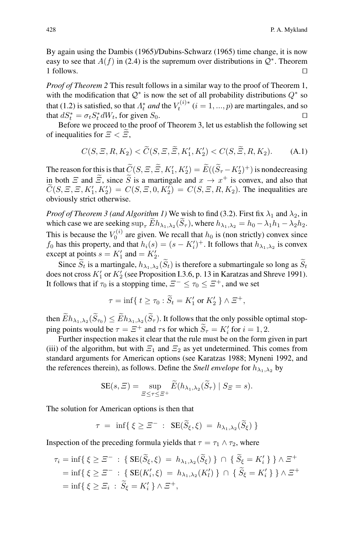By again using the Dambis (1965)/Dubins-Schwarz (1965) time change, it is now easy to see that  $A(f)$  in (2.4) is the supremum over distributions in  $\mathcal{Q}^*$ . Theorem 1 follows. 1 follows.

*Proof of Theorem 2* This result follows in a similar way to the proof of Theorem 1, with the modification that  $Q^*$  is now the set of all probability distributions  $Q^*$  so that (1.2) is satisfied, so that  $\Lambda_t^*$  *and* the  $V_t^{(i)*}$  ( $i = 1, ..., p$ ) are martingales, and so that  $dS^* = \sigma_s S^* dW$ , for given  $S_s$ that  $dS_t^* = \sigma_t S_t^* dW_t$ , for given  $S_0$ .  $\square$ <br>Before we proceed to the proof of Theorem 3 let us establish the following set

Before we proceed to the proof of Theorem 3, let us establish the following set of inequalities for  $\Xi < \Xi$ ,

$$
C(S, \Xi, R, K_2) < \widetilde{C}(S, \Xi, \widetilde{\Xi}, K_1', K_2') < C(S, \widetilde{\Xi}, R, K_2). \tag{A.1}
$$

The reason for this is that  $\widetilde{C}(S, \Xi, \widetilde{E}, K_1', K_2') = \widetilde{E}((\widetilde{S}_{\tau} - K_2')^+)$  is nondecreasing<br>in both  $\Xi$  and  $\widetilde{\Xi}$  since  $\widetilde{S}$  is a mertingale and  $\pi \to \pi^+$  is convex, and also that in both  $\Xi$  and  $\widetilde{\Xi}$ , since  $\widetilde{S}$  is a martingale and  $x \to x^+$  is convex, and also that  $C(S, \Xi, \Xi, K'_1, K'_2) = C(S, \Xi, 0, K'_2) = C(S, \Xi, R, K_2)$ . The inequalities are obviously strict otherwise obviously strict otherwise.

*Proof of Theorem 3 (and Algorithm 1)* We wish to find (3.2). First fix  $\lambda_1$  and  $\lambda_2$ , in which case we are seeking  $\sup_{\tau} \widetilde{E} h_{\lambda_1,\lambda_2}(\widetilde{S}_{\tau})$ , where  $h_{\lambda_1,\lambda_2} = h_0 - \lambda_1 h_1 - \lambda_2 h_2$ . This is because the  $V_0^{(i)}$  are given. We recall that  $h_0$  is (non strictly) convex since  $f_0$  has this property, and that  $h_i(s) = (s - K'_i)^+$ . It follows that  $h_{\lambda_1, \lambda_2}$  is convex except at points  $s - K'$  and  $K'$ except at points  $s = K'_1$  and  $= K'_2$ .<br>Since  $\tilde{S}$  is a martingale, b

Since  $\widetilde{S}_t$  is a martingale,  $h_{\lambda_1,\lambda_2}(\widetilde{S}_t)$  is therefore a submartingale so long as  $\widetilde{S}_t$ does not cross  $K'_1$  or  $K'_2$  (see Proposition I.3.6, p. 13 in Karatzas and Shreve 1991). It follows that if  $\tau_0$  is a stopping time,  $\Xi^- \leq \tau_0 \leq \Xi^+$ , and we set

$$
\tau = \inf \{ t \ge \tau_0 : \widetilde{S}_t = K'_1 \text{ or } K'_2 \} \wedge \Xi^+,
$$

then  $\widetilde{E}h_{\lambda_1,\lambda_2}(\widetilde{S}_{\tau_0}) \leq \widetilde{E}h_{\lambda_1,\lambda_2}(\widetilde{S}_{\tau})$ . It follows that the only possible optimal stopping points would be  $\tau = \Xi^+$  and  $\tau$ s for which  $\tilde{S}_{\tau} = K'_i$  for  $i = 1, 2$ .<br>Eurther inspection makes it clear that the rule must be on the form

Further inspection makes it clear that the rule must be on the form given in part (iii) of the algorithm, but with  $\Xi_1$  and  $\Xi_2$  as yet undetermined. This comes from standard arguments for American options (see Karatzas 1988; Myneni 1992, and the references therein), as follows. Define the *Snell envelope* for  $h_{\lambda_1,\lambda_2}$  by

$$
SE(s, \Xi) = \sup_{\Xi \le \tau \le \Xi^+} \widetilde{E}(h_{\lambda_1, \lambda_2}(\widetilde{S}_{\tau}) \mid S_{\Xi} = s).
$$

The solution for American options is then that

$$
\tau = \inf \{ \xi \geq \Xi^- : \operatorname{SE}(\widetilde{S}_{\xi}, \xi) = h_{\lambda_1, \lambda_2}(\widetilde{S}_{\xi}) \}
$$

Inspection of the preceding formula yields that  $\tau = \tau_1 \wedge \tau_2$ , where

$$
\tau_i = \inf \{ \xi \ge \Xi^- : \{ \text{SE}(\widetilde{S}_{\xi}, \xi) = h_{\lambda_1, \lambda_2}(\widetilde{S}_{\xi}) \} \cap \{ \widetilde{S}_{\xi} = K'_i \} \} \wedge \Xi^+
$$
\n
$$
= \inf \{ \xi \ge \Xi^- : \{ \text{SE}(K'_i, \xi) = h_{\lambda_1, \lambda_2}(K'_i) \} \cap \{ \widetilde{S}_{\xi} = K'_i \} \} \wedge \Xi^+
$$
\n
$$
= \inf \{ \xi \ge \Xi_i : \widetilde{S}_{\xi} = K'_i \} \wedge \Xi^+,
$$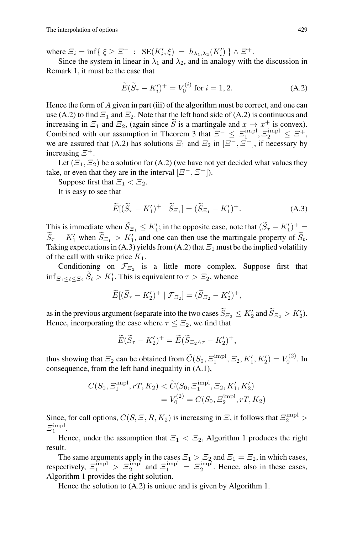where  $\mathcal{Z}_i = \inf\{\xi \geq \mathcal{Z}^- : \text{SE}(K_i', \xi) = h_{\lambda_1, \lambda_2}(K_i')\} \wedge \mathcal{Z}^+.$ <br>Since the system in linear in  $\lambda_i$  and  $\lambda_2$  and in analogy with

Since the system in linear in  $\lambda_1$  and  $\lambda_2$ , and in analogy with the discussion in Remark 1, it must be the case that

$$
\widetilde{E}(\widetilde{S}_{\tau} - K_i')^{+} = V_0^{(i)} \text{ for } i = 1, 2.
$$
 (A.2)

Hence the form of  $\tilde{A}$  given in part (iii) of the algorithm must be correct, and one can use (A.2) to find  $\Xi_1$  and  $\Xi_2$ . Note that the left hand side of (A.2) is continuous and increasing in  $\mathcal{Z}_1$  and  $\mathcal{Z}_2$ , (again since  $\widetilde{S}$  is a martingale and  $x \to x^+$  is convex). Combined with our assumption in Theorem 3 that  $\Xi^- \leq \Xi_1^{\text{impl}}, \Xi_2^{\text{impl}} \leq \Xi^+,$ we are assured that (A.2) has solutions  $\Xi_1$  and  $\Xi_2$  in  $[\Xi^-, \Xi^+]$ , if necessary by increasing  $\Xi^+$ .

Let  $(\Xi_1, \Xi_2)$  be a solution for (A.2) (we have not yet decided what values they take, or even that they are in the interval  $[\Xi^-, \Xi^+]$ ).

Suppose first that  $\Xi_1 < \Xi_2$ .

It is easy to see that

$$
\widetilde{E}[(\widetilde{S}_{\tau} - K_1')^+ \mid \widetilde{S}_{\Xi_1}] = (\widetilde{S}_{\Xi_1} - K_1')^+.
$$
\n(A.3)

This is immediate when  $\widetilde{S}_{\Xi_1} \leq K_1'$ ; in the opposite case, note that  $(\widetilde{S}_{\tau} - K_1')^+ =$ <br> $\widetilde{S}_{\tau} = K_1'$  when  $\widetilde{S}_{\tau} \geq K_2'$  and are sen then use the mertingale property of  $\widetilde{S}_{\tau}$  $S_{\tau} - K_1'$  when  $S_{\tau_1} > K_1'$ , and one can then use the martingale property of  $S_t$ . Taking expectations in (A.3) yields from (A.2) that  $\Xi_1$  must be the implied volatility of the call with strike price  $K_1$ .

Conditioning on  $\mathcal{F}_{\Xi_2}$  is a little more complex. Suppose first that  $\inf_{\Xi_1 \leq t \leq \Xi_2} S_t > K'_1$ . This is equivalent to  $\tau > \Xi_2$ , whence

$$
\widetilde{E}[(\widetilde{S}_{\tau} - K_2')^+ | \mathcal{F}_{\Xi_2}] = (\widetilde{S}_{\Xi_2} - K_2')^+,
$$

as in the previous argument (separate into the two cases  $S_{\Xi_2} \leq K_2'$  and  $S_{\Xi_2} > K_2'$ ). Hence, incorporating the case where  $\tau \leq \Xi_2$ , we find that

$$
\widetilde{E}(\widetilde{S}_{\tau} - K_2')^{+} = \widetilde{E}(\widetilde{S}_{\Xi_2 \wedge \tau} - K_2')^{+},
$$

thus showing that  $\Xi_2$  can be obtained from  $\widetilde{C}(S_0, \Xi_1^{\text{impl}}, \Xi_2, K'_1, K'_2) = V_0^{(2)}$ . In consequence, from the left hand inequality in (A.1),

$$
C(S_0, \Xi_1^{\text{impl}}, rT, K_2) < \widetilde{C}(S_0, \Xi_1^{\text{impl}}, \Xi_2, K_1', K_2')
$$
\n
$$
= V_0^{(2)} = C(S_0, \Xi_2^{\text{impl}}, rT, K_2)
$$

Since, for call options,  $C(S, \Xi, R, K_2)$  is increasing in  $\Xi$ , it follows that  $\Xi_2^{\text{impl}} > \Xi_{\text{impl}}$  $\varXi_1^{\rm impl}.$ 

Hence, under the assumption that  $\Xi_1 < \Xi_2$ , Algorithm 1 produces the right result.

The same arguments apply in the cases  $\Xi_1 > \Xi_2$  and  $\Xi_1 = \Xi_2$ , in which cases,<br>respectively,  $\Xi_1^{\text{impl}} > \Xi_2^{\text{impl}}$  and  $\Xi_1^{\text{impl}} = \Xi_2^{\text{impl}}$ . Hence, also in these cases,<br>Algorithm 1 provides the right solution Algorithm 1 provides the right solution.

Hence the solution to (A.2) is unique and is given by Algorithm 1.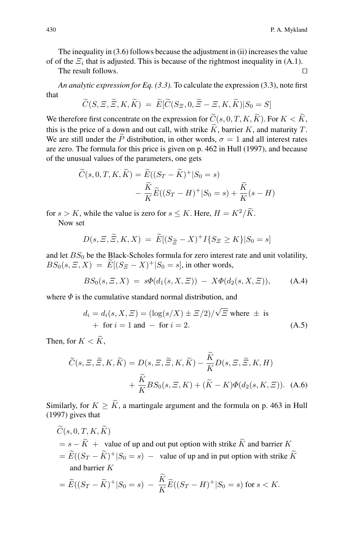The inequality in (3.6) follows because the adjustment in (ii) increases the value of of the  $\Xi_i$  that is adjusted. This is because of the rightmost inequality in (A.1).

The result follows.

*An analytic expression for Eq. (3.3).* To calculate the expression (3.3), note first that

$$
\widetilde{C}(S,\Xi,\widetilde{\Xi},K,\widetilde{K})\;=\;\widetilde{E}[\widetilde{C}(S_{\Xi},0,\widetilde{\Xi}-\Xi,K,\widetilde{K})|S_0=S]
$$

We therefore first concentrate on the expression for  $\widetilde{C}(s, 0, T, K, \widetilde{K})$ . For  $K < \widetilde{K}$ , this is the price of a down and out call, with strike  $\widetilde{K}$ , barrier K, and maturity T. We are still under the P distribution, in other words,  $\sigma = 1$  and all interest rates are zero. The formula for this price is given on p. 462 in Hull (1997), and because of the unusual values of the parameters, one gets

$$
\widetilde{C}(s,0,T,K,\widetilde{K}) = \widetilde{E}((S_T - \widetilde{K})^+ | S_0 = s)
$$

$$
- \frac{\widetilde{K}}{K} \widetilde{E}((S_T - H)^+ | S_0 = s) + \frac{\widetilde{K}}{K}(s - H)
$$

for  $s > K$ , while the value is zero for  $s < K$ . Here,  $H = K^2/\widetilde{K}$ . Now set

$$
D(s, \Xi, \widetilde{\Xi}, K, X) = \widetilde{E}[(S_{\widetilde{\Xi}} - X)^{+} I\{S_{\Xi} \ge K\}|S_{0} = s]
$$

and let  $BS_0$  be the Black-Scholes formula for zero interest rate and unit volatility,  $BS_0(s, \Xi, X) = E[(S_{\Xi} - X)^+]S_0 = s$ , in other words,

$$
BS_0(s, \Xi, X) = s\Phi(d_1(s, X, \Xi)) - X\Phi(d_2(s, X, \Xi)), \tag{A.4}
$$

where  $\Phi$  is the cumulative standard normal distribution, and

$$
d_i = d_i(s, X, \Xi) = (\log(s/X) \pm \Xi/2) / \sqrt{\Xi} \text{ where } \pm \text{ is}
$$
  
+ for  $i = 1$  and - for  $i = 2$ . (A.5)

Then, for  $K < \widetilde{K}$ ,

$$
\widetilde{C}(s, \Xi, \widetilde{\Xi}, K, \widetilde{K}) = D(s, \Xi, \widetilde{\Xi}, K, \widetilde{K}) - \frac{K}{K}D(s, \Xi, \widetilde{\Xi}, K, H) \n+ \frac{\widetilde{K}}{K}BS_0(s, \Xi, K) + (\widetilde{K} - K)\Phi(d_2(s, K, \Xi)).
$$
 (A.6)

Similarly, for  $K \geq \widetilde{K}$ , a martingale argument and the formula on p. 463 in Hull (1997) gives that

 $\widetilde{C}(s, 0, T, K, \widetilde{K})$  $= s - \widetilde{K} +$  value of up and out put option with strike  $\widetilde{K}$  and barrier K  $= \widetilde{E}((S_T - \widetilde{K})^+ | S_0 = s)$  – value of up and in put option with strike  $\widetilde{K}$ and barrier K  $\sim$ 

$$
= \widetilde{E}((S_T - \widetilde{K})^+ | S_0 = s) - \frac{K}{K} \widetilde{E}((S_T - H)^+ | S_0 = s) \text{ for } s < K.
$$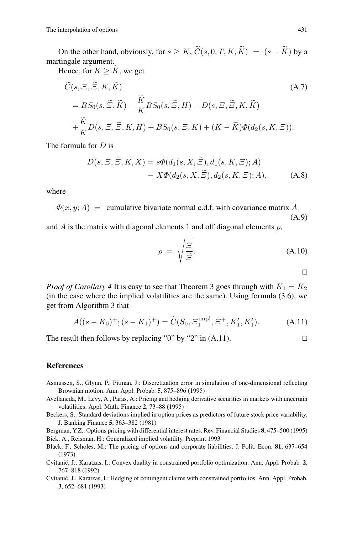On the other hand, obviously, for  $s \geq K$ ,  $\widetilde{C}(s, 0, T, K, \widetilde{K}) = (s - \widetilde{K})$  by a martingale argument.

Hence, for  $K \geq \widetilde{K}$ , we get

$$
\widetilde{C}(s, \Xi, \widetilde{\Xi}, K, \widetilde{K})
$$
\n
$$
= BS_0(s, \widetilde{\Xi}, \widetilde{K}) - \frac{\widetilde{K}}{K} BS_0(s, \widetilde{\Xi}, H) - D(s, \Xi, \widetilde{\Xi}, K, \widetilde{K})
$$
\n
$$
+ \frac{\widetilde{K}}{K} D(s, \Xi, \widetilde{\Xi}, K, H) + BS_0(s, \Xi, K) + (K - \widetilde{K}) \Phi(d_2(s, K, \Xi)).
$$
\n(A.7)

The formula for  $D$  is

$$
D(s, \Xi, \widetilde{\Xi}, K, X) = s\Phi(d_1(s, X, \widetilde{\Xi}), d_1(s, K, \Xi); A) - X\Phi(d_2(s, X, \widetilde{\Xi}), d_2(s, K, \Xi); A),
$$
 (A.8)

where

 $\Phi(x, y; A)$  = cumulative bivariate normal c.d.f. with covariance matrix A (A.9)

and A is the matrix with diagonal elements 1 and off diagonal elements  $\rho$ ,

$$
\rho = \sqrt{\frac{\Xi}{\widetilde{\Xi}}}.\tag{A.10}
$$

 $\Box$ 

*Proof of Corollary 4* It is easy to see that Theorem 3 goes through with  $K_1 = K_2$ (in the case where the implied volatilities are the same). Using formula (3.6), we get from Algorithm 3 that

$$
A((s - K_0)^+; (s - K_1)^+) = \widetilde{C}(S_0, \Xi_1^{\text{impl}}, \Xi^+, K_1', K_1').
$$
 (A.11)

The result then follows by replacing "0" by "2" in  $(A.11)$ .

#### **References**

- Asmussen, S., Glynn, P., Pitman, J.: Discretization error in simulation of one-dimensional reflecting Brownian motion. Ann. Appl. Probab. **5**, 875–896 (1995)
- Avellaneda, M., Levy, A., Paras, A.: Pricing and hedging derivative securities in markets with uncertain volatilities. Appl. Math. Finance **2**, 73–88 (1995)
- Beckers, S.: Standard deviations implied in option prices as predictors of future stock price variability. J. Banking Finance **5**, 363–382 (1981)

Bergman, Y.Z.: Options pricing with differential interest rates. Rev. Financial Studies **8**, 475–500 (1995) Bick, A., Reisman, H.: Generalized implied volatility. Preprint 1993

- Black, F., Scholes, M.: The pricing of options and corporate liabilities. J. Polit. Econ. **81**, 637–654 (1973)
- Cvitanić, J., Karatzas, I.: Convex duality in constrained portfolio optimization. Ann. Appl. Probab. 2, 767–818 (1992)
- Cvitanic, J., Karatzas, I.: Hedging of contingent claims with constrained portfolios. Ann. Appl. Probab. ´ **3**, 652–681 (1993)